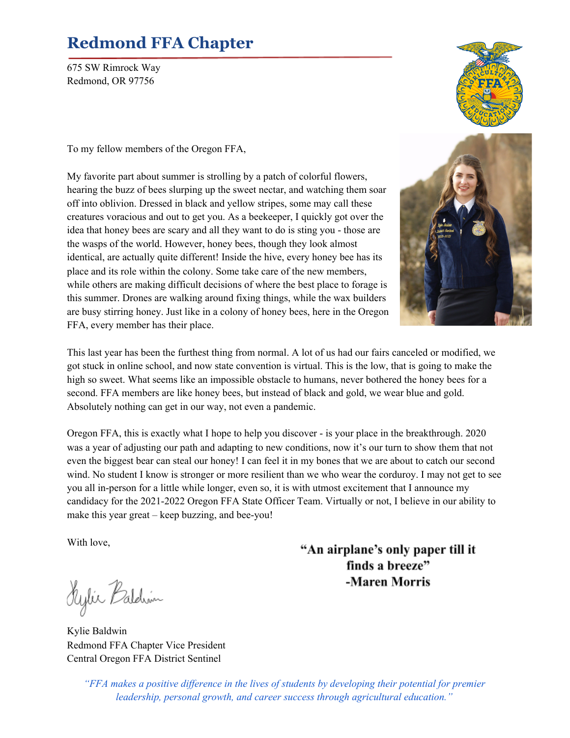## **Redmond FFA Chapter**

675 SW Rimrock Way Redmond, OR 97756

To my fellow members of the Oregon FFA,

My favorite part about summer is strolling by a patch of colorful flowers, hearing the buzz of bees slurping up the sweet nectar, and watching them soar off into oblivion. Dressed in black and yellow stripes, some may call these creatures voracious and out to get you. As a beekeeper, I quickly got over the idea that honey bees are scary and all they want to do is sting you - those are the wasps of the world. However, honey bees, though they look almost identical, are actually quite different! Inside the hive, every honey bee has its place and its role within the colony. Some take care of the new members, while others are making difficult decisions of where the best place to forage is this summer. Drones are walking around fixing things, while the wax builders are busy stirring honey. Just like in a colony of honey bees, here in the Oregon FFA, every member has their place.



This last year has been the furthest thing from normal. A lot of us had our fairs canceled or modified, we got stuck in online school, and now state convention is virtual. This is the low, that is going to make the high so sweet. What seems like an impossible obstacle to humans, never bothered the honey bees for a second. FFA members are like honey bees, but instead of black and gold, we wear blue and gold. Absolutely nothing can get in our way, not even a pandemic.

Oregon FFA, this is exactly what I hope to help you discover - is your place in the breakthrough. 2020 was a year of adjusting our path and adapting to new conditions, now it's our turn to show them that not even the biggest bear can steal our honey! I can feel it in my bones that we are about to catch our second wind. No student I know is stronger or more resilient than we who wear the corduroy. I may not get to see you all in-person for a little while longer, even so, it is with utmost excitement that I announce my candidacy for the 2021-2022 Oregon FFA State Officer Team. Virtually or not, I believe in our ability to make this year great – keep buzzing, and bee-you!

With love,

Sylie Baldwin

Kylie Baldwin Redmond FFA Chapter Vice President Central Oregon FFA District Sentinel

"An airplane's only paper till it finds a breeze" -Maren Morris

*"FFA makes a positive dif erence in the lives of students by developing their potential for premier leadership, personal growth, and career success through agricultural education."*